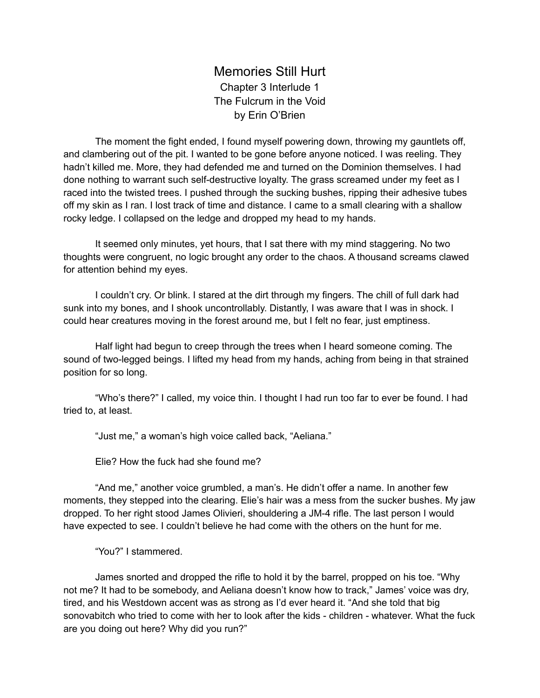Memories Still Hurt Chapter 3 Interlude 1 The Fulcrum in the Void by Erin O'Brien

The moment the fight ended, I found myself powering down, throwing my gauntlets off, and clambering out of the pit. I wanted to be gone before anyone noticed. I was reeling. They hadn't killed me. More, they had defended me and turned on the Dominion themselves. I had done nothing to warrant such self-destructive loyalty. The grass screamed under my feet as I raced into the twisted trees. I pushed through the sucking bushes, ripping their adhesive tubes off my skin as I ran. I lost track of time and distance. I came to a small clearing with a shallow rocky ledge. I collapsed on the ledge and dropped my head to my hands.

It seemed only minutes, yet hours, that I sat there with my mind staggering. No two thoughts were congruent, no logic brought any order to the chaos. A thousand screams clawed for attention behind my eyes.

I couldn't cry. Or blink. I stared at the dirt through my fingers. The chill of full dark had sunk into my bones, and I shook uncontrollably. Distantly, I was aware that I was in shock. I could hear creatures moving in the forest around me, but I felt no fear, just emptiness.

Half light had begun to creep through the trees when I heard someone coming. The sound of two-legged beings. I lifted my head from my hands, aching from being in that strained position for so long.

"Who's there?" I called, my voice thin. I thought I had run too far to ever be found. I had tried to, at least.

"Just me," a woman's high voice called back, "Aeliana."

Elie? How the fuck had she found me?

"And me," another voice grumbled, a man's. He didn't offer a name. In another few moments, they stepped into the clearing. Elie's hair was a mess from the sucker bushes. My jaw dropped. To her right stood James Olivieri, shouldering a JM-4 rifle. The last person I would have expected to see. I couldn't believe he had come with the others on the hunt for me.

"You?" I stammered.

James snorted and dropped the rifle to hold it by the barrel, propped on his toe. "Why not me? It had to be somebody, and Aeliana doesn't know how to track," James' voice was dry, tired, and his Westdown accent was as strong as I'd ever heard it. "And she told that big sonovabitch who tried to come with her to look after the kids - children - whatever. What the fuck are you doing out here? Why did you run?"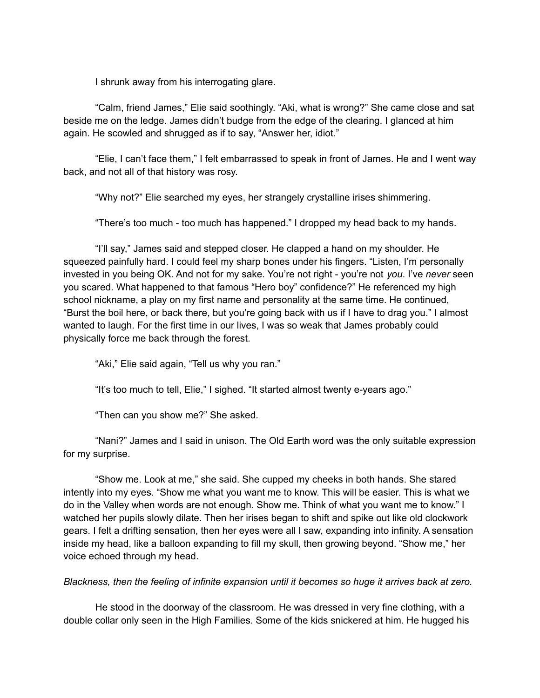I shrunk away from his interrogating glare.

"Calm, friend James," Elie said soothingly. "Aki, what is wrong?" She came close and sat beside me on the ledge. James didn't budge from the edge of the clearing. I glanced at him again. He scowled and shrugged as if to say, "Answer her, idiot."

"Elie, I can't face them," I felt embarrassed to speak in front of James. He and I went way back, and not all of that history was rosy.

"Why not?" Elie searched my eyes, her strangely crystalline irises shimmering.

"There's too much - too much has happened." I dropped my head back to my hands.

"I'll say," James said and stepped closer. He clapped a hand on my shoulder. He squeezed painfully hard. I could feel my sharp bones under his fingers. "Listen, I'm personally invested in you being OK. And not for my sake. You're not right - you're not *you*. I've *never* seen you scared. What happened to that famous "Hero boy" confidence?" He referenced my high school nickname, a play on my first name and personality at the same time. He continued, "Burst the boil here, or back there, but you're going back with us if I have to drag you." I almost wanted to laugh. For the first time in our lives, I was so weak that James probably could physically force me back through the forest.

"Aki," Elie said again, "Tell us why you ran."

"It's too much to tell, Elie," I sighed. "It started almost twenty e-years ago."

"Then can you show me?" She asked.

"Nani?" James and I said in unison. The Old Earth word was the only suitable expression for my surprise.

"Show me. Look at me," she said. She cupped my cheeks in both hands. She stared intently into my eyes. "Show me what you want me to know. This will be easier. This is what we do in the Valley when words are not enough. Show me. Think of what you want me to know." I watched her pupils slowly dilate. Then her irises began to shift and spike out like old clockwork gears. I felt a drifting sensation, then her eyes were all I saw, expanding into infinity. A sensation inside my head, like a balloon expanding to fill my skull, then growing beyond. "Show me," her voice echoed through my head.

*Blackness, then the feeling of infinite expansion until it becomes so huge it arrives back at zero.*

He stood in the doorway of the classroom. He was dressed in very fine clothing, with a double collar only seen in the High Families. Some of the kids snickered at him. He hugged his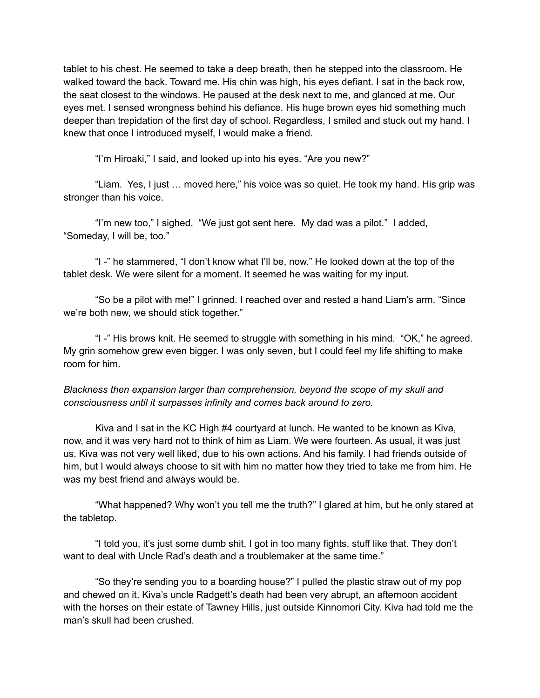tablet to his chest. He seemed to take a deep breath, then he stepped into the classroom. He walked toward the back. Toward me. His chin was high, his eyes defiant. I sat in the back row, the seat closest to the windows. He paused at the desk next to me, and glanced at me. Our eyes met. I sensed wrongness behind his defiance. His huge brown eyes hid something much deeper than trepidation of the first day of school. Regardless, I smiled and stuck out my hand. I knew that once I introduced myself, I would make a friend.

"I'm Hiroaki," I said, and looked up into his eyes. "Are you new?"

"Liam. Yes, I just … moved here," his voice was so quiet. He took my hand. His grip was stronger than his voice.

"I'm new too," I sighed. "We just got sent here. My dad was a pilot." I added, "Someday, I will be, too."

"I -" he stammered, "I don't know what I'll be, now." He looked down at the top of the tablet desk. We were silent for a moment. It seemed he was waiting for my input.

"So be a pilot with me!" I grinned. I reached over and rested a hand Liam's arm. "Since we're both new, we should stick together."

"I -" His brows knit. He seemed to struggle with something in his mind. "OK," he agreed. My grin somehow grew even bigger. I was only seven, but I could feel my life shifting to make room for him.

*Blackness then expansion larger than comprehension, beyond the scope of my skull and consciousness until it surpasses infinity and comes back around to zero.*

Kiva and I sat in the KC High #4 courtyard at lunch. He wanted to be known as Kiva, now, and it was very hard not to think of him as Liam. We were fourteen. As usual, it was just us. Kiva was not very well liked, due to his own actions. And his family. I had friends outside of him, but I would always choose to sit with him no matter how they tried to take me from him. He was my best friend and always would be.

"What happened? Why won't you tell me the truth?" I glared at him, but he only stared at the tabletop.

"I told you, it's just some dumb shit, I got in too many fights, stuff like that. They don't want to deal with Uncle Rad's death and a troublemaker at the same time."

"So they're sending you to a boarding house?" I pulled the plastic straw out of my pop and chewed on it. Kiva's uncle Radgett's death had been very abrupt, an afternoon accident with the horses on their estate of Tawney Hills, just outside Kinnomori City. Kiva had told me the man's skull had been crushed.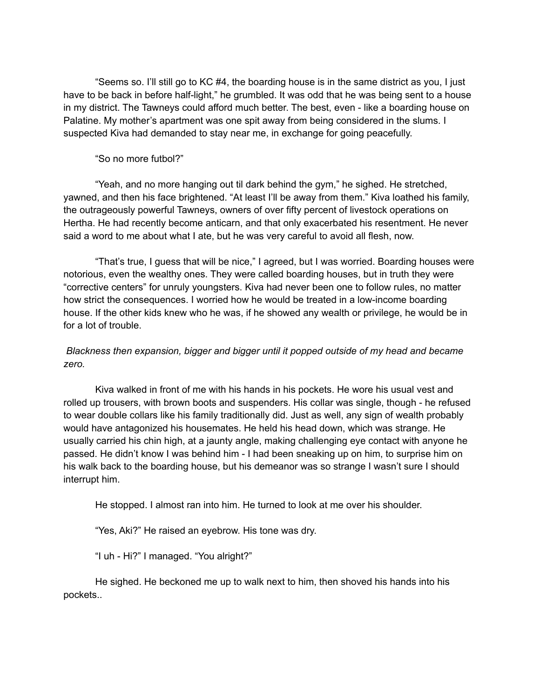"Seems so. I'll still go to KC #4, the boarding house is in the same district as you, I just have to be back in before half-light," he grumbled. It was odd that he was being sent to a house in my district. The Tawneys could afford much better. The best, even - like a boarding house on Palatine. My mother's apartment was one spit away from being considered in the slums. I suspected Kiva had demanded to stay near me, in exchange for going peacefully.

## "So no more futbol?"

"Yeah, and no more hanging out til dark behind the gym," he sighed. He stretched, yawned, and then his face brightened. "At least I'll be away from them." Kiva loathed his family, the outrageously powerful Tawneys, owners of over fifty percent of livestock operations on Hertha. He had recently become anticarn, and that only exacerbated his resentment. He never said a word to me about what I ate, but he was very careful to avoid all flesh, now.

"That's true, I guess that will be nice," I agreed, but I was worried. Boarding houses were notorious, even the wealthy ones. They were called boarding houses, but in truth they were "corrective centers" for unruly youngsters. Kiva had never been one to follow rules, no matter how strict the consequences. I worried how he would be treated in a low-income boarding house. If the other kids knew who he was, if he showed any wealth or privilege, he would be in for a lot of trouble.

# *Blackness then expansion, bigger and bigger until it popped outside of my head and became zero.*

Kiva walked in front of me with his hands in his pockets. He wore his usual vest and rolled up trousers, with brown boots and suspenders. His collar was single, though - he refused to wear double collars like his family traditionally did. Just as well, any sign of wealth probably would have antagonized his housemates. He held his head down, which was strange. He usually carried his chin high, at a jaunty angle, making challenging eye contact with anyone he passed. He didn't know I was behind him - I had been sneaking up on him, to surprise him on his walk back to the boarding house, but his demeanor was so strange I wasn't sure I should interrupt him.

He stopped. I almost ran into him. He turned to look at me over his shoulder.

"Yes, Aki?" He raised an eyebrow. His tone was dry.

"I uh - Hi?" I managed. "You alright?"

He sighed. He beckoned me up to walk next to him, then shoved his hands into his pockets..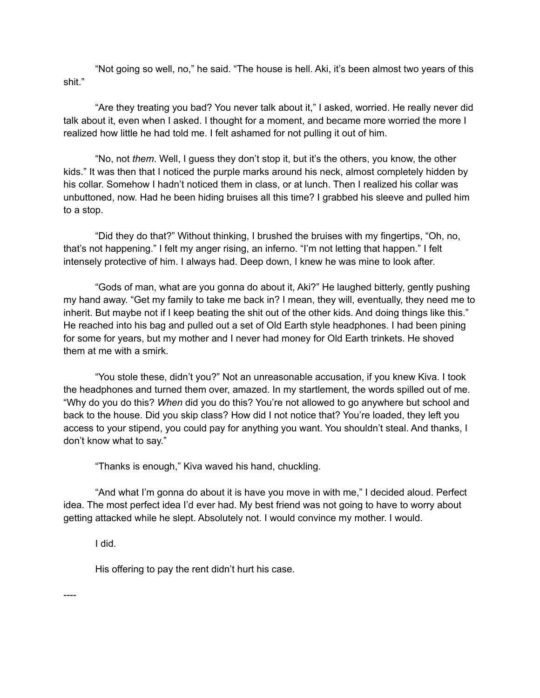"Not going so well, no," he said. "The house is hell. Aki, it's been almost two years of this shit."

"Are they treating you bad? You never talk about it," I asked, worried. He really never did talk about it, even when I asked. I thought for a moment, and became more worried the more I realized how little he had told me. I felt ashamed for not pulling it out of him.

"No, not *them*. Well, I guess they don't stop it, but it's the others, you know, the other kids." It was then that I noticed the purple marks around his neck, almost completely hidden by his collar. Somehow I hadn't noticed them in class, or at lunch. Then I realized his collar was unbuttoned, now. Had he been hiding bruises all this time? I grabbed his sleeve and pulled him to a stop.

"Did they do that?" Without thinking, I brushed the bruises with my fingertips, "Oh, no, that's not happening." I felt my anger rising, an inferno. "I'm not letting that happen." I felt intensely protective of him. I always had. Deep down, I knew he was mine to look after.

"Gods of man, what are you gonna do about it, Aki?" He laughed bitterly, gently pushing my hand away. "Get my family to take me back in? I mean, they will, eventually, they need me to inherit. But maybe not if I keep beating the shit out of the other kids. And doing things like this." He reached into his bag and pulled out a set of Old Earth style headphones. I had been pining for some for years, but my mother and I never had money for Old Earth trinkets. He shoved them at me with a smirk.

"You stole these, didn't you?" Not an unreasonable accusation, if you knew Kiva. I took the headphones and turned them over, amazed. In my startlement, the words spilled out of me. "Why do you do this? *When* did you do this? You're not allowed to go anywhere but school and back to the house. Did you skip class? How did I not notice that? You're loaded, they left you access to your stipend, you could pay for anything you want. You shouldn't steal. And thanks, I don't know what to say."

"Thanks is enough," Kiva waved his hand, chuckling.

"And what I'm gonna do about it is have you move in with me," I decided aloud. Perfect idea. The most perfect idea I'd ever had. My best friend was not going to have to worry about getting attacked while he slept. Absolutely not. I would convince my mother. I would.

I did.

His offering to pay the rent didn't hurt his case.

----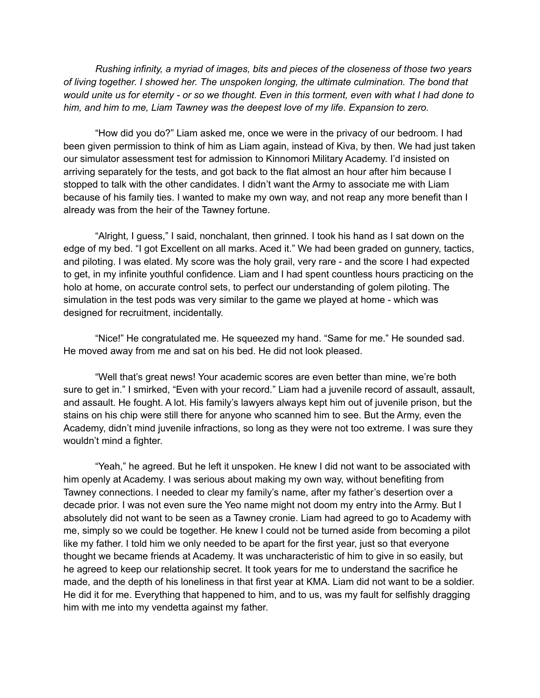*Rushing infinity, a myriad of images, bits and pieces of the closeness of those two years of living together. I showed her. The unspoken longing, the ultimate culmination. The bond that* would unite us for eternity - or so we thought. Even in this torment, even with what I had done to *him, and him to me, Liam Tawney was the deepest love of my life. Expansion to zero.*

"How did you do?" Liam asked me, once we were in the privacy of our bedroom. I had been given permission to think of him as Liam again, instead of Kiva, by then. We had just taken our simulator assessment test for admission to Kinnomori Military Academy. I'd insisted on arriving separately for the tests, and got back to the flat almost an hour after him because I stopped to talk with the other candidates. I didn't want the Army to associate me with Liam because of his family ties. I wanted to make my own way, and not reap any more benefit than I already was from the heir of the Tawney fortune.

"Alright, I guess," I said, nonchalant, then grinned. I took his hand as I sat down on the edge of my bed. "I got Excellent on all marks. Aced it." We had been graded on gunnery, tactics, and piloting. I was elated. My score was the holy grail, very rare - and the score I had expected to get, in my infinite youthful confidence. Liam and I had spent countless hours practicing on the holo at home, on accurate control sets, to perfect our understanding of golem piloting. The simulation in the test pods was very similar to the game we played at home - which was designed for recruitment, incidentally.

"Nice!" He congratulated me. He squeezed my hand. "Same for me." He sounded sad. He moved away from me and sat on his bed. He did not look pleased.

"Well that's great news! Your academic scores are even better than mine, we're both sure to get in." I smirked, "Even with your record." Liam had a juvenile record of assault, assault, and assault. He fought. A lot. His family's lawyers always kept him out of juvenile prison, but the stains on his chip were still there for anyone who scanned him to see. But the Army, even the Academy, didn't mind juvenile infractions, so long as they were not too extreme. I was sure they wouldn't mind a fighter.

"Yeah," he agreed. But he left it unspoken. He knew I did not want to be associated with him openly at Academy. I was serious about making my own way, without benefiting from Tawney connections. I needed to clear my family's name, after my father's desertion over a decade prior. I was not even sure the Yeo name might not doom my entry into the Army. But I absolutely did not want to be seen as a Tawney cronie. Liam had agreed to go to Academy with me, simply so we could be together. He knew I could not be turned aside from becoming a pilot like my father. I told him we only needed to be apart for the first year, just so that everyone thought we became friends at Academy. It was uncharacteristic of him to give in so easily, but he agreed to keep our relationship secret. It took years for me to understand the sacrifice he made, and the depth of his loneliness in that first year at KMA. Liam did not want to be a soldier. He did it for me. Everything that happened to him, and to us, was my fault for selfishly dragging him with me into my vendetta against my father.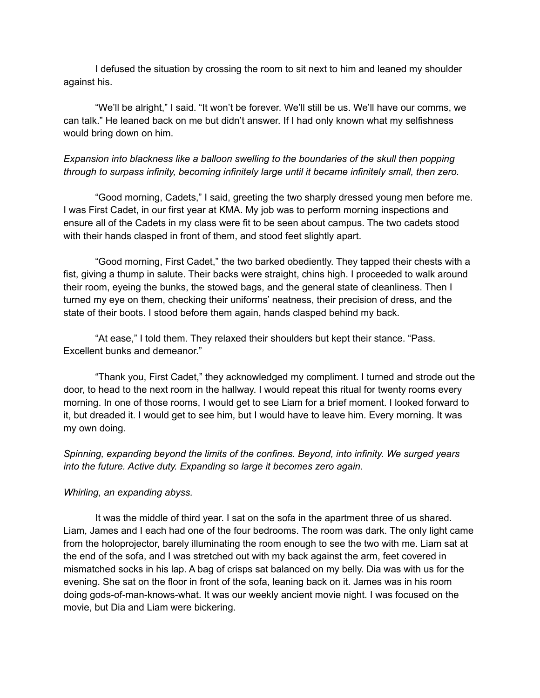I defused the situation by crossing the room to sit next to him and leaned my shoulder against his.

"We'll be alright," I said. "It won't be forever. We'll still be us. We'll have our comms, we can talk." He leaned back on me but didn't answer. If I had only known what my selfishness would bring down on him.

## *Expansion into blackness like a balloon swelling to the boundaries of the skull then popping through to surpass infinity, becoming infinitely large until it became infinitely small, then zero.*

"Good morning, Cadets," I said, greeting the two sharply dressed young men before me. I was First Cadet, in our first year at KMA. My job was to perform morning inspections and ensure all of the Cadets in my class were fit to be seen about campus. The two cadets stood with their hands clasped in front of them, and stood feet slightly apart.

"Good morning, First Cadet," the two barked obediently. They tapped their chests with a fist, giving a thump in salute. Their backs were straight, chins high. I proceeded to walk around their room, eyeing the bunks, the stowed bags, and the general state of cleanliness. Then I turned my eye on them, checking their uniforms' neatness, their precision of dress, and the state of their boots. I stood before them again, hands clasped behind my back.

"At ease," I told them. They relaxed their shoulders but kept their stance. "Pass. Excellent bunks and demeanor."

"Thank you, First Cadet," they acknowledged my compliment. I turned and strode out the door, to head to the next room in the hallway. I would repeat this ritual for twenty rooms every morning. In one of those rooms, I would get to see Liam for a brief moment. I looked forward to it, but dreaded it. I would get to see him, but I would have to leave him. Every morning. It was my own doing.

*Spinning, expanding beyond the limits of the confines. Beyond, into infinity. We surged years into the future. Active duty. Expanding so large it becomes zero again.*

### *Whirling, an expanding abyss.*

It was the middle of third year. I sat on the sofa in the apartment three of us shared. Liam, James and I each had one of the four bedrooms. The room was dark. The only light came from the holoprojector, barely illuminating the room enough to see the two with me. Liam sat at the end of the sofa, and I was stretched out with my back against the arm, feet covered in mismatched socks in his lap. A bag of crisps sat balanced on my belly. Dia was with us for the evening. She sat on the floor in front of the sofa, leaning back on it. James was in his room doing gods-of-man-knows-what. It was our weekly ancient movie night. I was focused on the movie, but Dia and Liam were bickering.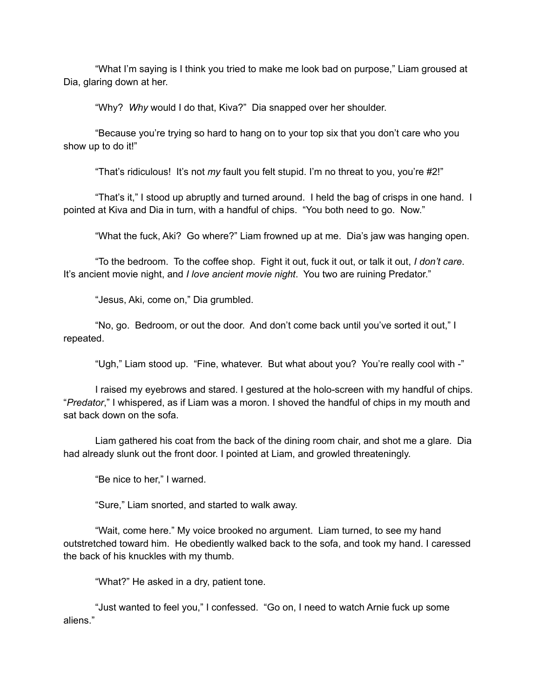"What I'm saying is I think you tried to make me look bad on purpose," Liam groused at Dia, glaring down at her.

"Why? *Why* would I do that, Kiva?" Dia snapped over her shoulder.

"Because you're trying so hard to hang on to your top six that you don't care who you show up to do it!"

"That's ridiculous! It's not *my* fault you felt stupid. I'm no threat to you, you're #2!"

"That's it," I stood up abruptly and turned around. I held the bag of crisps in one hand. I pointed at Kiva and Dia in turn, with a handful of chips. "You both need to go. Now."

"What the fuck, Aki? Go where?" Liam frowned up at me. Dia's jaw was hanging open.

"To the bedroom. To the coffee shop. Fight it out, fuck it out, or talk it out, *I don't care*. It's ancient movie night, and *I love ancient movie night*. You two are ruining Predator."

"Jesus, Aki, come on," Dia grumbled.

"No, go. Bedroom, or out the door. And don't come back until you've sorted it out," I repeated.

"Ugh," Liam stood up. "Fine, whatever. But what about you? You're really cool with -"

I raised my eyebrows and stared. I gestured at the holo-screen with my handful of chips. "*Predator*," I whispered, as if Liam was a moron. I shoved the handful of chips in my mouth and sat back down on the sofa.

Liam gathered his coat from the back of the dining room chair, and shot me a glare. Dia had already slunk out the front door. I pointed at Liam, and growled threateningly.

"Be nice to her," I warned.

"Sure," Liam snorted, and started to walk away.

"Wait, come here." My voice brooked no argument. Liam turned, to see my hand outstretched toward him. He obediently walked back to the sofa, and took my hand. I caressed the back of his knuckles with my thumb.

"What?" He asked in a dry, patient tone.

"Just wanted to feel you," I confessed. "Go on, I need to watch Arnie fuck up some aliens."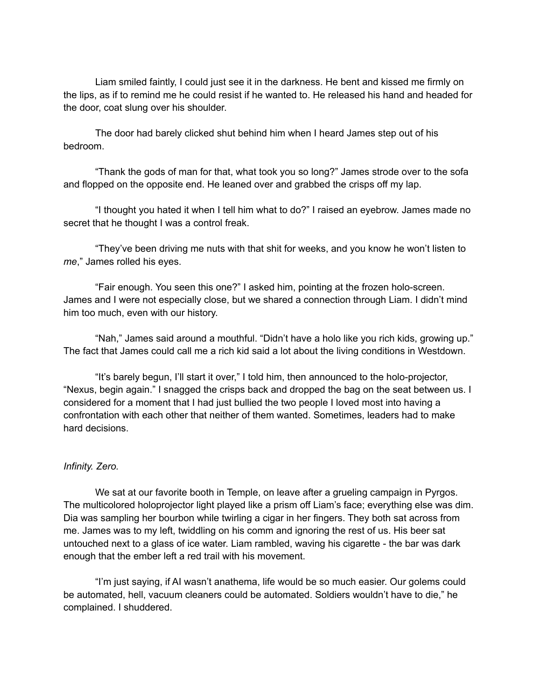Liam smiled faintly, I could just see it in the darkness. He bent and kissed me firmly on the lips, as if to remind me he could resist if he wanted to. He released his hand and headed for the door, coat slung over his shoulder.

The door had barely clicked shut behind him when I heard James step out of his bedroom.

"Thank the gods of man for that, what took you so long?" James strode over to the sofa and flopped on the opposite end. He leaned over and grabbed the crisps off my lap.

"I thought you hated it when I tell him what to do?" I raised an eyebrow. James made no secret that he thought I was a control freak.

"They've been driving me nuts with that shit for weeks, and you know he won't listen to *me*," James rolled his eyes.

"Fair enough. You seen this one?" I asked him, pointing at the frozen holo-screen. James and I were not especially close, but we shared a connection through Liam. I didn't mind him too much, even with our history.

"Nah," James said around a mouthful. "Didn't have a holo like you rich kids, growing up." The fact that James could call me a rich kid said a lot about the living conditions in Westdown.

"It's barely begun, I'll start it over," I told him, then announced to the holo-projector, "Nexus, begin again." I snagged the crisps back and dropped the bag on the seat between us. I considered for a moment that I had just bullied the two people I loved most into having a confrontation with each other that neither of them wanted. Sometimes, leaders had to make hard decisions.

### *Infinity. Zero.*

We sat at our favorite booth in Temple, on leave after a grueling campaign in Pyrgos. The multicolored holoprojector light played like a prism off Liam's face; everything else was dim. Dia was sampling her bourbon while twirling a cigar in her fingers. They both sat across from me. James was to my left, twiddling on his comm and ignoring the rest of us. His beer sat untouched next to a glass of ice water. Liam rambled, waving his cigarette - the bar was dark enough that the ember left a red trail with his movement.

"I'm just saying, if AI wasn't anathema, life would be so much easier. Our golems could be automated, hell, vacuum cleaners could be automated. Soldiers wouldn't have to die," he complained. I shuddered.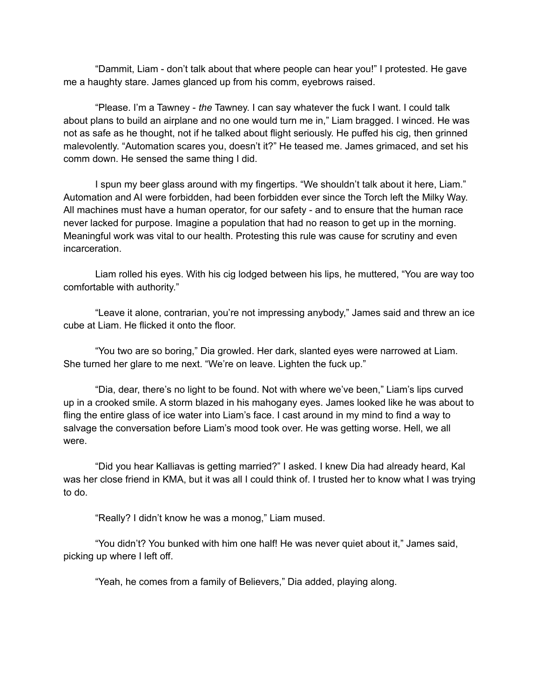"Dammit, Liam - don't talk about that where people can hear you!" I protested. He gave me a haughty stare. James glanced up from his comm, eyebrows raised.

"Please. I'm a Tawney - *the* Tawney. I can say whatever the fuck I want. I could talk about plans to build an airplane and no one would turn me in," Liam bragged. I winced. He was not as safe as he thought, not if he talked about flight seriously. He puffed his cig, then grinned malevolently. "Automation scares you, doesn't it?" He teased me. James grimaced, and set his comm down. He sensed the same thing I did.

I spun my beer glass around with my fingertips. "We shouldn't talk about it here, Liam." Automation and AI were forbidden, had been forbidden ever since the Torch left the Milky Way. All machines must have a human operator, for our safety - and to ensure that the human race never lacked for purpose. Imagine a population that had no reason to get up in the morning. Meaningful work was vital to our health. Protesting this rule was cause for scrutiny and even incarceration.

Liam rolled his eyes. With his cig lodged between his lips, he muttered, "You are way too comfortable with authority."

"Leave it alone, contrarian, you're not impressing anybody," James said and threw an ice cube at Liam. He flicked it onto the floor.

"You two are so boring," Dia growled. Her dark, slanted eyes were narrowed at Liam. She turned her glare to me next. "We're on leave. Lighten the fuck up."

"Dia, dear, there's no light to be found. Not with where we've been," Liam's lips curved up in a crooked smile. A storm blazed in his mahogany eyes. James looked like he was about to fling the entire glass of ice water into Liam's face. I cast around in my mind to find a way to salvage the conversation before Liam's mood took over. He was getting worse. Hell, we all were.

"Did you hear Kalliavas is getting married?" I asked. I knew Dia had already heard, Kal was her close friend in KMA, but it was all I could think of. I trusted her to know what I was trying to do.

"Really? I didn't know he was a monog," Liam mused.

"You didn't? You bunked with him one half! He was never quiet about it," James said, picking up where I left off.

"Yeah, he comes from a family of Believers," Dia added, playing along.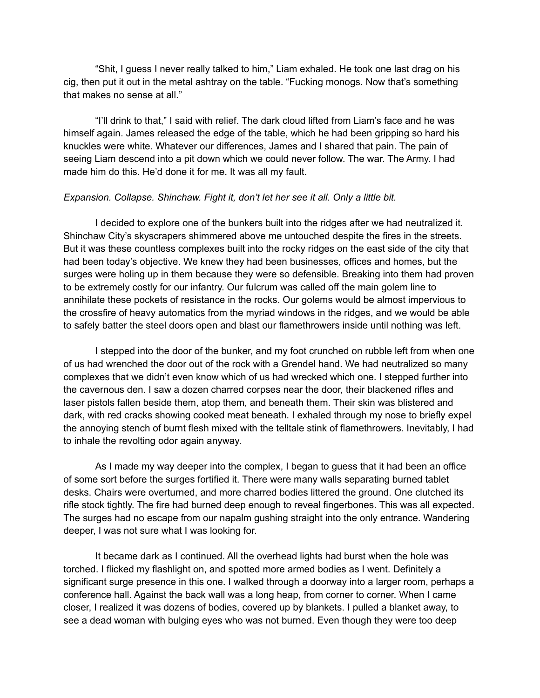"Shit, I guess I never really talked to him," Liam exhaled. He took one last drag on his cig, then put it out in the metal ashtray on the table. "Fucking monogs. Now that's something that makes no sense at all."

"I'll drink to that," I said with relief. The dark cloud lifted from Liam's face and he was himself again. James released the edge of the table, which he had been gripping so hard his knuckles were white. Whatever our differences, James and I shared that pain. The pain of seeing Liam descend into a pit down which we could never follow. The war. The Army. I had made him do this. He'd done it for me. It was all my fault.

#### *Expansion. Collapse. Shinchaw. Fight it, don't let her see it all. Only a little bit.*

I decided to explore one of the bunkers built into the ridges after we had neutralized it. Shinchaw City's skyscrapers shimmered above me untouched despite the fires in the streets. But it was these countless complexes built into the rocky ridges on the east side of the city that had been today's objective. We knew they had been businesses, offices and homes, but the surges were holing up in them because they were so defensible. Breaking into them had proven to be extremely costly for our infantry. Our fulcrum was called off the main golem line to annihilate these pockets of resistance in the rocks. Our golems would be almost impervious to the crossfire of heavy automatics from the myriad windows in the ridges, and we would be able to safely batter the steel doors open and blast our flamethrowers inside until nothing was left.

I stepped into the door of the bunker, and my foot crunched on rubble left from when one of us had wrenched the door out of the rock with a Grendel hand. We had neutralized so many complexes that we didn't even know which of us had wrecked which one. I stepped further into the cavernous den. I saw a dozen charred corpses near the door, their blackened rifles and laser pistols fallen beside them, atop them, and beneath them. Their skin was blistered and dark, with red cracks showing cooked meat beneath. I exhaled through my nose to briefly expel the annoying stench of burnt flesh mixed with the telltale stink of flamethrowers. Inevitably, I had to inhale the revolting odor again anyway.

As I made my way deeper into the complex, I began to guess that it had been an office of some sort before the surges fortified it. There were many walls separating burned tablet desks. Chairs were overturned, and more charred bodies littered the ground. One clutched its rifle stock tightly. The fire had burned deep enough to reveal fingerbones. This was all expected. The surges had no escape from our napalm gushing straight into the only entrance. Wandering deeper, I was not sure what I was looking for.

It became dark as I continued. All the overhead lights had burst when the hole was torched. I flicked my flashlight on, and spotted more armed bodies as I went. Definitely a significant surge presence in this one. I walked through a doorway into a larger room, perhaps a conference hall. Against the back wall was a long heap, from corner to corner. When I came closer, I realized it was dozens of bodies, covered up by blankets. I pulled a blanket away, to see a dead woman with bulging eyes who was not burned. Even though they were too deep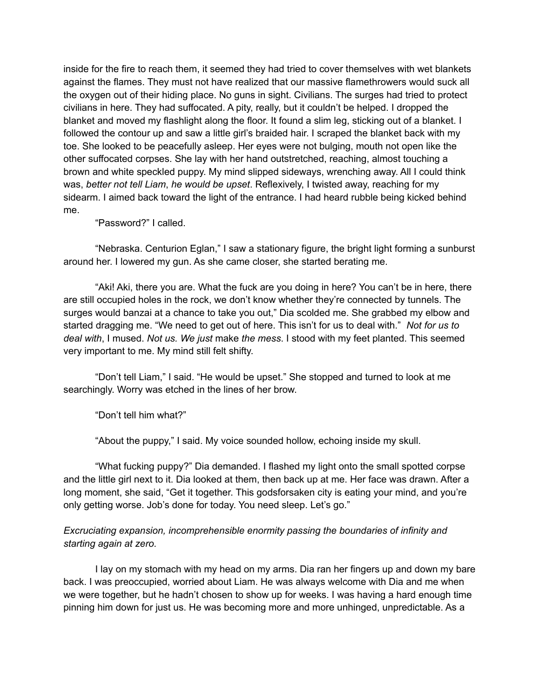inside for the fire to reach them, it seemed they had tried to cover themselves with wet blankets against the flames. They must not have realized that our massive flamethrowers would suck all the oxygen out of their hiding place. No guns in sight. Civilians. The surges had tried to protect civilians in here. They had suffocated. A pity, really, but it couldn't be helped. I dropped the blanket and moved my flashlight along the floor. It found a slim leg, sticking out of a blanket. I followed the contour up and saw a little girl's braided hair. I scraped the blanket back with my toe. She looked to be peacefully asleep. Her eyes were not bulging, mouth not open like the other suffocated corpses. She lay with her hand outstretched, reaching, almost touching a brown and white speckled puppy. My mind slipped sideways, wrenching away. All I could think was, *better not tell Liam*, *he would be upset*. Reflexively, I twisted away, reaching for my sidearm. I aimed back toward the light of the entrance. I had heard rubble being kicked behind me.

"Password?" I called.

"Nebraska. Centurion Eglan," I saw a stationary figure, the bright light forming a sunburst around her. I lowered my gun. As she came closer, she started berating me.

"Aki! Aki, there you are. What the fuck are you doing in here? You can't be in here, there are still occupied holes in the rock, we don't know whether they're connected by tunnels. The surges would banzai at a chance to take you out," Dia scolded me. She grabbed my elbow and started dragging me. "We need to get out of here. This isn't for us to deal with." *Not for us to deal with*, I mused. *Not us. We just* make *the mess*. I stood with my feet planted. This seemed very important to me. My mind still felt shifty.

"Don't tell Liam," I said. "He would be upset." She stopped and turned to look at me searchingly. Worry was etched in the lines of her brow.

"Don't tell him what?"

"About the puppy," I said. My voice sounded hollow, echoing inside my skull.

"What fucking puppy?" Dia demanded. I flashed my light onto the small spotted corpse and the little girl next to it. Dia looked at them, then back up at me. Her face was drawn. After a long moment, she said, "Get it together. This godsforsaken city is eating your mind, and you're only getting worse. Job's done for today. You need sleep. Let's go."

## *Excruciating expansion, incomprehensible enormity passing the boundaries of infinity and starting again at zero.*

I lay on my stomach with my head on my arms. Dia ran her fingers up and down my bare back. I was preoccupied, worried about Liam. He was always welcome with Dia and me when we were together, but he hadn't chosen to show up for weeks. I was having a hard enough time pinning him down for just us. He was becoming more and more unhinged, unpredictable. As a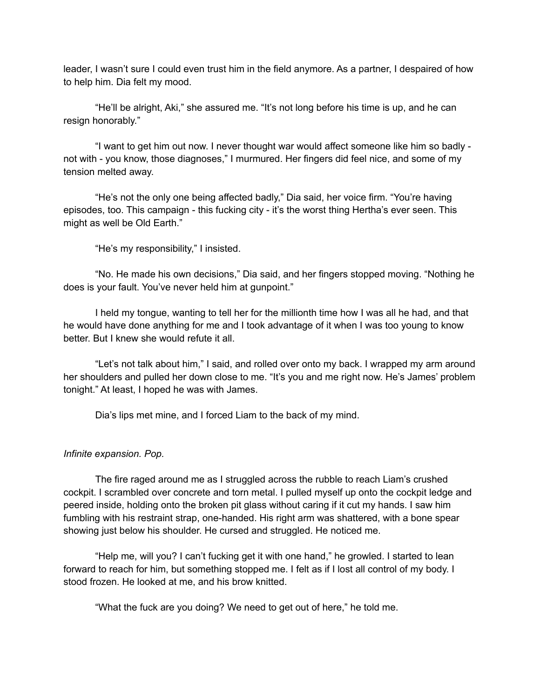leader, I wasn't sure I could even trust him in the field anymore. As a partner, I despaired of how to help him. Dia felt my mood.

"He'll be alright, Aki," she assured me. "It's not long before his time is up, and he can resign honorably."

"I want to get him out now. I never thought war would affect someone like him so badly not with - you know, those diagnoses," I murmured. Her fingers did feel nice, and some of my tension melted away.

"He's not the only one being affected badly," Dia said, her voice firm. "You're having episodes, too. This campaign - this fucking city - it's the worst thing Hertha's ever seen. This might as well be Old Earth."

"He's my responsibility," I insisted.

"No. He made his own decisions," Dia said, and her fingers stopped moving. "Nothing he does is your fault. You've never held him at gunpoint."

I held my tongue, wanting to tell her for the millionth time how I was all he had, and that he would have done anything for me and I took advantage of it when I was too young to know better. But I knew she would refute it all.

"Let's not talk about him," I said, and rolled over onto my back. I wrapped my arm around her shoulders and pulled her down close to me. "It's you and me right now. He's James' problem tonight." At least, I hoped he was with James.

Dia's lips met mine, and I forced Liam to the back of my mind.

#### *Infinite expansion. Pop.*

The fire raged around me as I struggled across the rubble to reach Liam's crushed cockpit. I scrambled over concrete and torn metal. I pulled myself up onto the cockpit ledge and peered inside, holding onto the broken pit glass without caring if it cut my hands. I saw him fumbling with his restraint strap, one-handed. His right arm was shattered, with a bone spear showing just below his shoulder. He cursed and struggled. He noticed me.

"Help me, will you? I can't fucking get it with one hand," he growled. I started to lean forward to reach for him, but something stopped me. I felt as if I lost all control of my body. I stood frozen. He looked at me, and his brow knitted.

"What the fuck are you doing? We need to get out of here," he told me.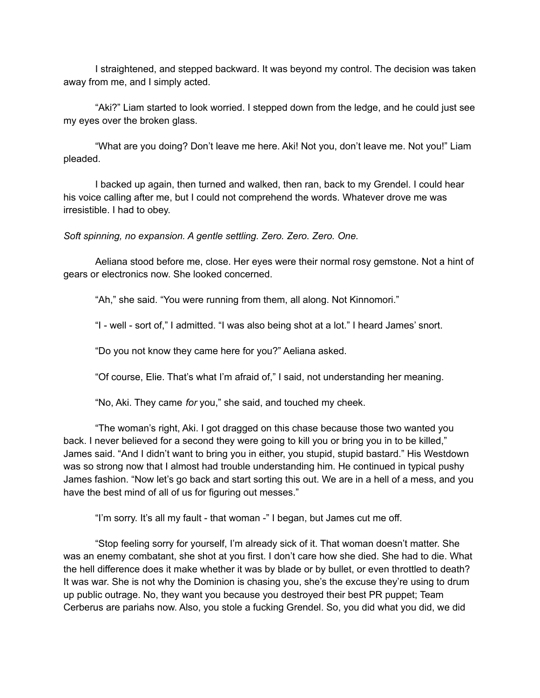I straightened, and stepped backward. It was beyond my control. The decision was taken away from me, and I simply acted.

"Aki?" Liam started to look worried. I stepped down from the ledge, and he could just see my eyes over the broken glass.

"What are you doing? Don't leave me here. Aki! Not you, don't leave me. Not you!" Liam pleaded.

I backed up again, then turned and walked, then ran, back to my Grendel. I could hear his voice calling after me, but I could not comprehend the words. Whatever drove me was irresistible. I had to obey.

*Soft spinning, no expansion. A gentle settling. Zero. Zero. Zero. One.*

Aeliana stood before me, close. Her eyes were their normal rosy gemstone. Not a hint of gears or electronics now. She looked concerned.

"Ah," she said. "You were running from them, all along. Not Kinnomori."

"I - well - sort of," I admitted. "I was also being shot at a lot." I heard James' snort.

"Do you not know they came here for you?" Aeliana asked.

"Of course, Elie. That's what I'm afraid of," I said, not understanding her meaning.

"No, Aki. They came *for* you," she said, and touched my cheek.

"The woman's right, Aki. I got dragged on this chase because those two wanted you back. I never believed for a second they were going to kill you or bring you in to be killed," James said. "And I didn't want to bring you in either, you stupid, stupid bastard." His Westdown was so strong now that I almost had trouble understanding him. He continued in typical pushy James fashion. "Now let's go back and start sorting this out. We are in a hell of a mess, and you have the best mind of all of us for figuring out messes."

"I'm sorry. It's all my fault - that woman -" I began, but James cut me off.

"Stop feeling sorry for yourself, I'm already sick of it. That woman doesn't matter. She was an enemy combatant, she shot at you first. I don't care how she died. She had to die. What the hell difference does it make whether it was by blade or by bullet, or even throttled to death? It was war. She is not why the Dominion is chasing you, she's the excuse they're using to drum up public outrage. No, they want you because you destroyed their best PR puppet; Team Cerberus are pariahs now. Also, you stole a fucking Grendel. So, you did what you did, we did